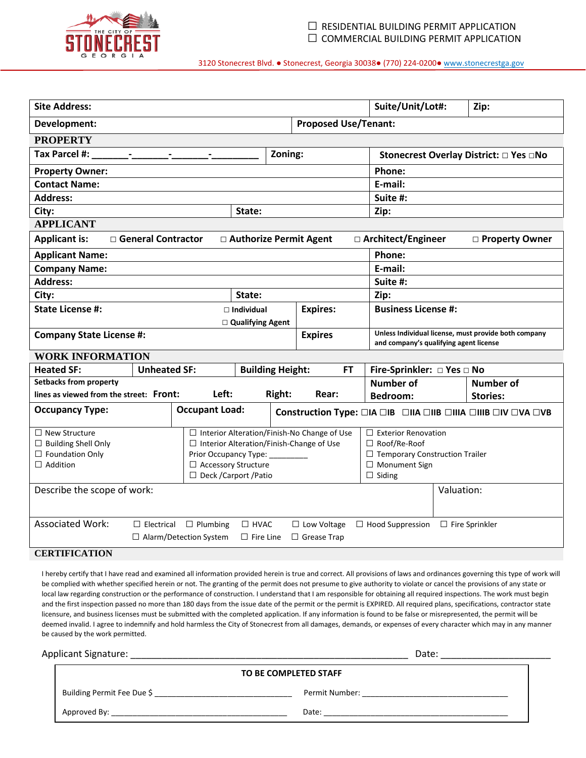

| <b>Site Address:</b>                                                                                                                                                                                                             |                     |                       |                                                                                                                                                                              |                                        | Suite/Unit/Lot#: |                                                                                                                                | Zip:                                                                                           |  |                                                              |
|----------------------------------------------------------------------------------------------------------------------------------------------------------------------------------------------------------------------------------|---------------------|-----------------------|------------------------------------------------------------------------------------------------------------------------------------------------------------------------------|----------------------------------------|------------------|--------------------------------------------------------------------------------------------------------------------------------|------------------------------------------------------------------------------------------------|--|--------------------------------------------------------------|
| <b>Proposed Use/Tenant:</b><br>Development:                                                                                                                                                                                      |                     |                       |                                                                                                                                                                              |                                        |                  |                                                                                                                                |                                                                                                |  |                                                              |
| <b>PROPERTY</b>                                                                                                                                                                                                                  |                     |                       |                                                                                                                                                                              |                                        |                  |                                                                                                                                |                                                                                                |  |                                                              |
| Tax Parcel #:<br>Zoning:                                                                                                                                                                                                         |                     |                       |                                                                                                                                                                              | Stonecrest Overlay District: □ Yes □No |                  |                                                                                                                                |                                                                                                |  |                                                              |
| <b>Property Owner:</b>                                                                                                                                                                                                           |                     |                       |                                                                                                                                                                              |                                        | Phone:           |                                                                                                                                |                                                                                                |  |                                                              |
| <b>Contact Name:</b>                                                                                                                                                                                                             |                     |                       |                                                                                                                                                                              |                                        | E-mail:          |                                                                                                                                |                                                                                                |  |                                                              |
| <b>Address:</b>                                                                                                                                                                                                                  |                     |                       |                                                                                                                                                                              |                                        | Suite #:         |                                                                                                                                |                                                                                                |  |                                                              |
| City:                                                                                                                                                                                                                            |                     |                       | State:                                                                                                                                                                       |                                        |                  |                                                                                                                                | Zip:                                                                                           |  |                                                              |
| <b>APPLICANT</b>                                                                                                                                                                                                                 |                     |                       |                                                                                                                                                                              |                                        |                  |                                                                                                                                |                                                                                                |  |                                                              |
| <b>Applicant is:</b><br>□ General Contractor<br>□ Authorize Permit Agent<br>□ Architect/Engineer<br>□ Property Owner                                                                                                             |                     |                       |                                                                                                                                                                              |                                        |                  |                                                                                                                                |                                                                                                |  |                                                              |
| <b>Applicant Name:</b>                                                                                                                                                                                                           |                     |                       |                                                                                                                                                                              |                                        |                  |                                                                                                                                | Phone:                                                                                         |  |                                                              |
| <b>Company Name:</b>                                                                                                                                                                                                             |                     |                       |                                                                                                                                                                              |                                        |                  |                                                                                                                                | E-mail:                                                                                        |  |                                                              |
| <b>Address:</b>                                                                                                                                                                                                                  |                     |                       |                                                                                                                                                                              |                                        |                  |                                                                                                                                | Suite #:                                                                                       |  |                                                              |
| City:                                                                                                                                                                                                                            |                     |                       | State:                                                                                                                                                                       |                                        |                  |                                                                                                                                | Zip:                                                                                           |  |                                                              |
| <b>State License #:</b>                                                                                                                                                                                                          |                     |                       | $\Box$ Individual                                                                                                                                                            |                                        | <b>Expires:</b>  |                                                                                                                                | <b>Business License #:</b>                                                                     |  |                                                              |
|                                                                                                                                                                                                                                  |                     |                       | □ Qualifying Agent                                                                                                                                                           |                                        |                  |                                                                                                                                |                                                                                                |  |                                                              |
| <b>Company State License #:</b>                                                                                                                                                                                                  |                     |                       |                                                                                                                                                                              |                                        | <b>Expires</b>   |                                                                                                                                | Unless Individual license, must provide both company<br>and company's qualifying agent license |  |                                                              |
| <b>WORK INFORMATION</b>                                                                                                                                                                                                          |                     |                       |                                                                                                                                                                              |                                        |                  |                                                                                                                                |                                                                                                |  |                                                              |
| <b>Heated SF:</b>                                                                                                                                                                                                                | <b>Unheated SF:</b> |                       | <b>Building Height:</b>                                                                                                                                                      |                                        | FT               |                                                                                                                                | Fire-Sprinkler: □ Yes □ No                                                                     |  |                                                              |
| <b>Setbacks from property</b>                                                                                                                                                                                                    |                     |                       |                                                                                                                                                                              |                                        |                  |                                                                                                                                | <b>Number of</b>                                                                               |  | <b>Number of</b>                                             |
| lines as viewed from the street: Front:                                                                                                                                                                                          |                     | Left:                 |                                                                                                                                                                              | Right:                                 | Rear:            |                                                                                                                                | <b>Bedroom:</b>                                                                                |  | <b>Stories:</b>                                              |
| <b>Occupancy Type:</b>                                                                                                                                                                                                           |                     | <b>Occupant Load:</b> |                                                                                                                                                                              |                                        |                  |                                                                                                                                |                                                                                                |  | Construction Type: □IA □IB □IIA □IIB □IIIA □IIIB □IV □VA □VB |
| $\Box$ New Structure<br>$\Box$ Building Shell Only<br>$\Box$ Foundation Only<br>$\Box$ Addition                                                                                                                                  |                     |                       | □ Interior Alteration/Finish-No Change of Use<br>$\Box$ Interior Alteration/Finish-Change of Use<br>Prior Occupancy Type:<br>□ Accessory Structure<br>□ Deck /Carport /Patio |                                        |                  | $\Box$ Exterior Renovation<br>$\Box$ Roof/Re-Roof<br>□ Temporary Construction Trailer<br>$\Box$ Monument Sign<br>$\Box$ Siding |                                                                                                |  |                                                              |
| Describe the scope of work:                                                                                                                                                                                                      |                     |                       |                                                                                                                                                                              |                                        |                  | Valuation:                                                                                                                     |                                                                                                |  |                                                              |
| <b>Associated Work:</b><br>$\Box$ Electrical $\Box$ Plumbing<br>$\Box$ HVAC<br>$\Box$ Low Voltage<br>$\Box$ Hood Suppression<br>$\Box$ Fire Sprinkler<br>$\Box$ Alarm/Detection System<br>$\Box$ Fire Line<br>$\Box$ Grease Trap |                     |                       |                                                                                                                                                                              |                                        |                  |                                                                                                                                |                                                                                                |  |                                                              |
| <b>CERTIFICATION</b>                                                                                                                                                                                                             |                     |                       |                                                                                                                                                                              |                                        |                  |                                                                                                                                |                                                                                                |  |                                                              |

I hereby certify that I have read and examined all information provided herein is true and correct. All provisions of laws and ordinances governing this type of work will be complied with whether specified herein or not. The granting of the permit does not presume to give authority to violate or cancel the provisions of any state or local law regarding construction or the performance of construction. I understand that I am responsible for obtaining all required inspections. The work must begin and the first inspection passed no more than 180 days from the issue date of the permit or the permit is EXPIRED. All required plans, specifications, contractor state licensure, and business licenses must be submitted with the completed application. If any information is found to be false or misrepresented, the permit will be deemed invalid. I agree to indemnify and hold harmless the City of Stonecrest from all damages, demands, or expenses of every character which may in any manner be caused by the work permitted.

| Applicant Signature:       | Date:                 |
|----------------------------|-----------------------|
|                            | TO BE COMPLETED STAFF |
| Building Permit Fee Due \$ | Permit Number:        |
| Approved By:               | Date:                 |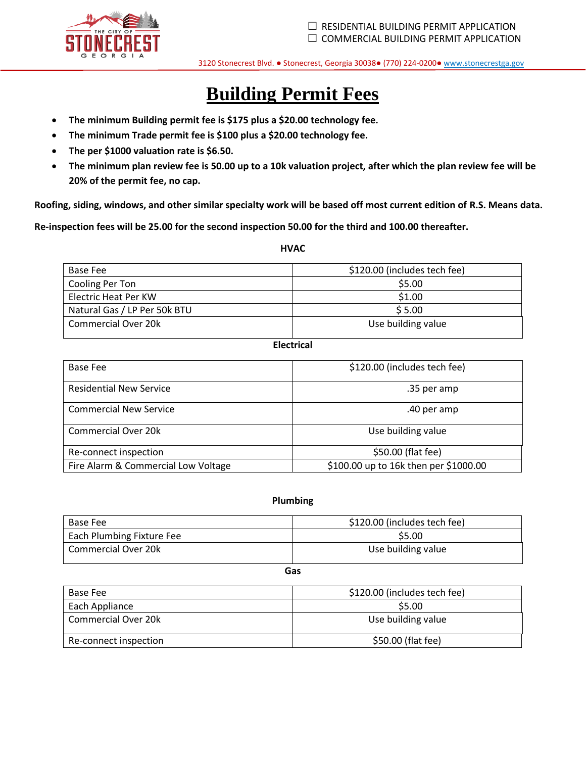

# **Building Permit Fees**

- **The minimum Building permit fee is \$175 plus a \$20.00 technology fee.**
- **The minimum Trade permit fee is \$100 plus a \$20.00 technology fee.**
- **The per \$1000 valuation rate is \$6.50.**
- **The minimum plan review fee is 50.00 up to a 10k valuation project, after which the plan review fee will be 20% of the permit fee, no cap.**

**Roofing, siding, windows, and other similar specialty work will be based off most current edition of R.S. Means data.**

**Re-inspection fees will be 25.00 for the second inspection 50.00 for the third and 100.00 thereafter.** 

# **HVAC**

| Base Fee                     | \$120.00 (includes tech fee) |
|------------------------------|------------------------------|
| Cooling Per Ton              | \$5.00                       |
| Electric Heat Per KW         | \$1.00                       |
| Natural Gas / LP Per 50k BTU | \$5.00                       |
| Commercial Over 20k          | Use building value           |

#### **Electrical**

| Base Fee                            | \$120.00 (includes tech fee)          |
|-------------------------------------|---------------------------------------|
| <b>Residential New Service</b>      | .35 per amp                           |
| <b>Commercial New Service</b>       | .40 per amp                           |
| <b>Commercial Over 20k</b>          | Use building value                    |
| Re-connect inspection               | \$50.00 (flat fee)                    |
| Fire Alarm & Commercial Low Voltage | \$100.00 up to 16k then per \$1000.00 |

# **Plumbing**

| Base Fee                         | \$120.00 (includes tech fee) |
|----------------------------------|------------------------------|
| <b>Each Plumbing Fixture Fee</b> | \$5.00                       |
| Commercial Over 20k              | Use building value           |

# **Gas**

| Base Fee              | \$120.00 (includes tech fee) |
|-----------------------|------------------------------|
| Each Appliance        | \$5.00                       |
| Commercial Over 20k   | Use building value           |
| Re-connect inspection | \$50.00 (flat fee)           |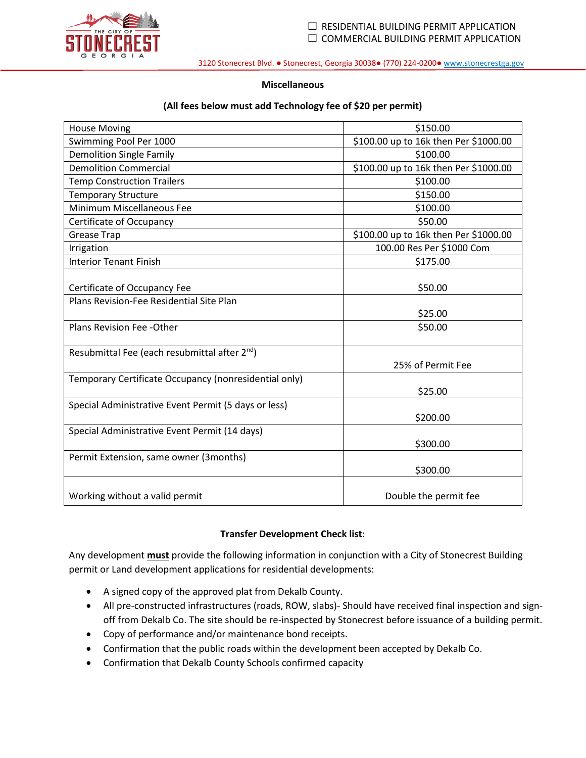

# **Miscellaneous**

# **(All fees below must add Technology fee of \$20 per permit)**

| <b>House Moving</b>                                       | \$150.00                              |
|-----------------------------------------------------------|---------------------------------------|
| Swimming Pool Per 1000                                    | \$100.00 up to 16k then Per \$1000.00 |
| <b>Demolition Single Family</b>                           | \$100.00                              |
| <b>Demolition Commercial</b>                              | \$100.00 up to 16k then Per \$1000.00 |
| <b>Temp Construction Trailers</b>                         | \$100.00                              |
| <b>Temporary Structure</b>                                | \$150.00                              |
| Minimum Miscellaneous Fee                                 | \$100.00                              |
| Certificate of Occupancy                                  | \$50.00                               |
| <b>Grease Trap</b>                                        | \$100.00 up to 16k then Per \$1000.00 |
| Irrigation                                                | 100.00 Res Per \$1000 Com             |
| <b>Interior Tenant Finish</b>                             | \$175.00                              |
|                                                           |                                       |
| Certificate of Occupancy Fee                              | \$50.00                               |
| Plans Revision-Fee Residential Site Plan                  |                                       |
|                                                           | \$25.00                               |
| Plans Revision Fee -Other                                 | \$50.00                               |
|                                                           |                                       |
| Resubmittal Fee (each resubmittal after 2 <sup>nd</sup> ) |                                       |
|                                                           | 25% of Permit Fee                     |
| Temporary Certificate Occupancy (nonresidential only)     |                                       |
|                                                           | \$25.00                               |
| Special Administrative Event Permit (5 days or less)      |                                       |
|                                                           | \$200.00                              |
| Special Administrative Event Permit (14 days)             |                                       |
|                                                           | \$300.00                              |
| Permit Extension, same owner (3months)                    |                                       |
|                                                           | \$300.00                              |
|                                                           |                                       |
| Working without a valid permit                            | Double the permit fee                 |

# **Transfer Development Check list**:

Any development **must** provide the following information in conjunction with a City of Stonecrest Building permit or Land development applications for residential developments:

- A signed copy of the approved plat from Dekalb County.
- All pre-constructed infrastructures (roads, ROW, slabs)- Should have received final inspection and signoff from Dekalb Co. The site should be re-inspected by Stonecrest before issuance of a building permit.
- Copy of performance and/or maintenance bond receipts.
- Confirmation that the public roads within the development been accepted by Dekalb Co.
- Confirmation that Dekalb County Schools confirmed capacity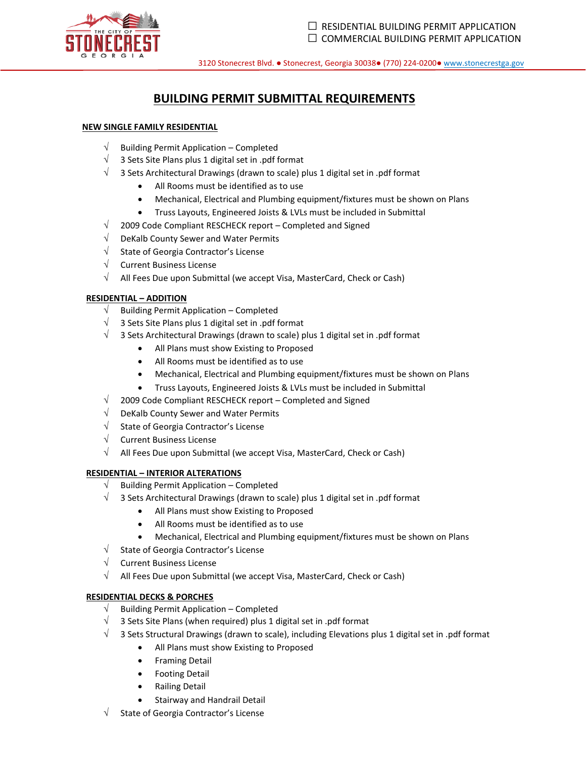

# **BUILDING PERMIT SUBMITTAL REQUIREMENTS**

# **NEW SINGLE FAMILY RESIDENTIAL**

- $\sqrt{\phantom{a}}$  Building Permit Application Completed
- $\sqrt{ }$  3 Sets Site Plans plus 1 digital set in .pdf format
- $\sqrt{ }$  3 Sets Architectural Drawings (drawn to scale) plus 1 digital set in .pdf format
	- All Rooms must be identified as to use
	- Mechanical, Electrical and Plumbing equipment/fixtures must be shown on Plans
	- Truss Layouts, Engineered Joists & LVLs must be included in Submittal
- $\sqrt{2009}$  Code Compliant RESCHECK report Completed and Signed
- $\sqrt{\phantom{a}}$  DeKalb County Sewer and Water Permits
- $\sqrt{\phantom{a}}$  State of Georgia Contractor's License
- $\sqrt{\phantom{a}}$  Current Business License
- $\sqrt{\phantom{a}}$  All Fees Due upon Submittal (we accept Visa, MasterCard, Check or Cash)

# **RESIDENTIAL – ADDITION**

- $\sqrt{\phantom{a}}$  Building Permit Application Completed
- $\sqrt{ }$  3 Sets Site Plans plus 1 digital set in .pdf format
- $\sqrt{ }$  3 Sets Architectural Drawings (drawn to scale) plus 1 digital set in .pdf format
	- All Plans must show Existing to Proposed
	- All Rooms must be identified as to use
	- Mechanical, Electrical and Plumbing equipment/fixtures must be shown on Plans
	- Truss Layouts, Engineered Joists & LVLs must be included in Submittal
- $\sqrt{2009}$  Code Compliant RESCHECK report Completed and Signed
- $\sqrt{\phantom{a}}$  DeKalb County Sewer and Water Permits
- $\sqrt{\phantom{a}}$  State of Georgia Contractor's License
- $\sqrt{ }$  Current Business License
- $\sqrt{\phantom{a}}$  All Fees Due upon Submittal (we accept Visa, MasterCard, Check or Cash)

#### **RESIDENTIAL – INTERIOR ALTERATIONS**

- $\sqrt{\phantom{a}}$  Building Permit Application Completed
- $\sqrt{ }$  3 Sets Architectural Drawings (drawn to scale) plus 1 digital set in .pdf format
	- All Plans must show Existing to Proposed
	- All Rooms must be identified as to use
	- Mechanical, Electrical and Plumbing equipment/fixtures must be shown on Plans
- $\sqrt{\phantom{a}}$  State of Georgia Contractor's License
- $\sqrt{\phantom{a}}$  Current Business License
- $\sqrt{\phantom{a}}$  All Fees Due upon Submittal (we accept Visa, MasterCard, Check or Cash)

#### **RESIDENTIAL DECKS & PORCHES**

- $\sqrt{\phantom{a}}$  Building Permit Application Completed
- $\sqrt{ }$  3 Sets Site Plans (when required) plus 1 digital set in .pdf format
- $\sqrt{ }$  3 Sets Structural Drawings (drawn to scale), including Elevations plus 1 digital set in .pdf format
	- All Plans must show Existing to Proposed
	- Framing Detail
	- Footing Detail
	- Railing Detail
	- Stairway and Handrail Detail
- State of Georgia Contractor's License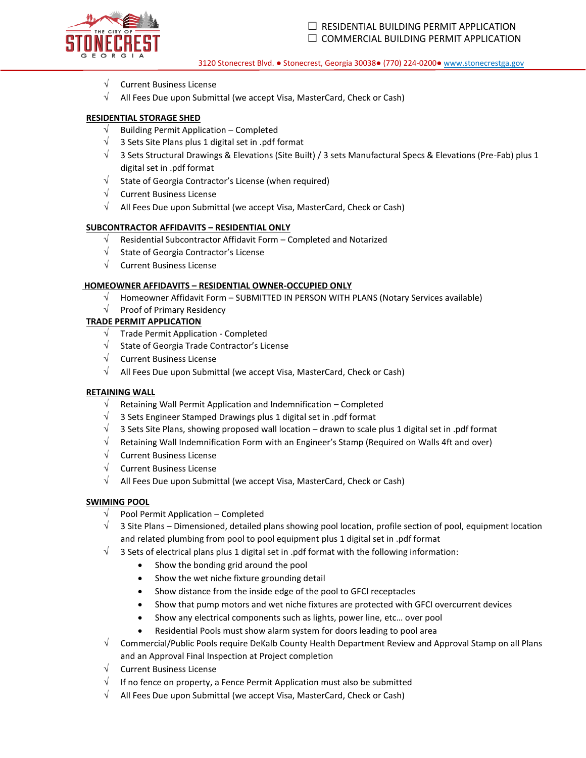

- $\sqrt{ }$  Current Business License
- $\sqrt{ }$  All Fees Due upon Submittal (we accept Visa, MasterCard, Check or Cash)

#### **RESIDENTIAL STORAGE SHED**

- $\sqrt{\phantom{a}}$  Building Permit Application Completed
- $\sqrt{ }$  3 Sets Site Plans plus 1 digital set in .pdf format
- $\sqrt{ }$  3 Sets Structural Drawings & Elevations (Site Built) / 3 sets Manufactural Specs & Elevations (Pre-Fab) plus 1 digital set in .pdf format
- $\sqrt{\phantom{a}}$  State of Georgia Contractor's License (when required)
- $\sqrt{\phantom{a}}$  Current Business License
- $\sqrt{\phantom{a}}$  All Fees Due upon Submittal (we accept Visa, MasterCard, Check or Cash)

#### **SUBCONTRACTOR AFFIDAVITS – RESIDENTIAL ONLY**

- $\sqrt{\phantom{a}}$  Residential Subcontractor Affidavit Form Completed and Notarized
- $\sqrt{\phantom{a}}$  State of Georgia Contractor's License
- $\sqrt{ }$  Current Business License

#### **HOMEOWNER AFFIDAVITS – RESIDENTIAL OWNER-OCCUPIED ONLY**

- $\sqrt{\phantom{a}}$  Homeowner Affidavit Form SUBMITTED IN PERSON WITH PLANS (Notary Services available)
- $\sqrt{ }$  Proof of Primary Residency

#### **TRADE PERMIT APPLICATION**

- $\sqrt{ }$  Trade Permit Application Completed
- $\sqrt{\phantom{a}}$  State of Georgia Trade Contractor's License
- $\sqrt{\phantom{a}}$  Current Business License
- $\sqrt{\phantom{a}}$  All Fees Due upon Submittal (we accept Visa, MasterCard, Check or Cash)

#### **RETAINING WALL**

- $\sqrt{\phantom{a}}$  Retaining Wall Permit Application and Indemnification Completed
- $\sqrt{ }$  3 Sets Engineer Stamped Drawings plus 1 digital set in .pdf format
- $\sqrt{ }$  3 Sets Site Plans, showing proposed wall location drawn to scale plus 1 digital set in .pdf format
- $\sqrt{ }$  Retaining Wall Indemnification Form with an Engineer's Stamp (Required on Walls 4ft and over)
- $\sqrt{\phantom{a}}$  Current Business License
- $\sqrt{\phantom{a}}$  Current Business License
- $\sqrt{\phantom{a}}$  All Fees Due upon Submittal (we accept Visa, MasterCard, Check or Cash)

#### **SWIMING POOL**

- $\sqrt{\phantom{a}}$  Pool Permit Application Completed
- $\sqrt{ }$  3 Site Plans Dimensioned, detailed plans showing pool location, profile section of pool, equipment location and related plumbing from pool to pool equipment plus 1 digital set in .pdf format
- $\sqrt{ }$  3 Sets of electrical plans plus 1 digital set in .pdf format with the following information:
	- Show the bonding grid around the pool
		- Show the wet niche fixture grounding detail
		- Show distance from the inside edge of the pool to GFCI receptacles
		- Show that pump motors and wet niche fixtures are protected with GFCI overcurrent devices
		- Show any electrical components such as lights, power line, etc… over pool
	- Residential Pools must show alarm system for doors leading to pool area
- $\sqrt{\phantom{a}}$  Commercial/Public Pools require DeKalb County Health Department Review and Approval Stamp on all Plans and an Approval Final Inspection at Project completion
- $\sqrt{\phantom{a}}$  Current Business License
- $\sqrt{\phantom{a}}$  If no fence on property, a Fence Permit Application must also be submitted
- $\sqrt{\phantom{a}}$  All Fees Due upon Submittal (we accept Visa, MasterCard, Check or Cash)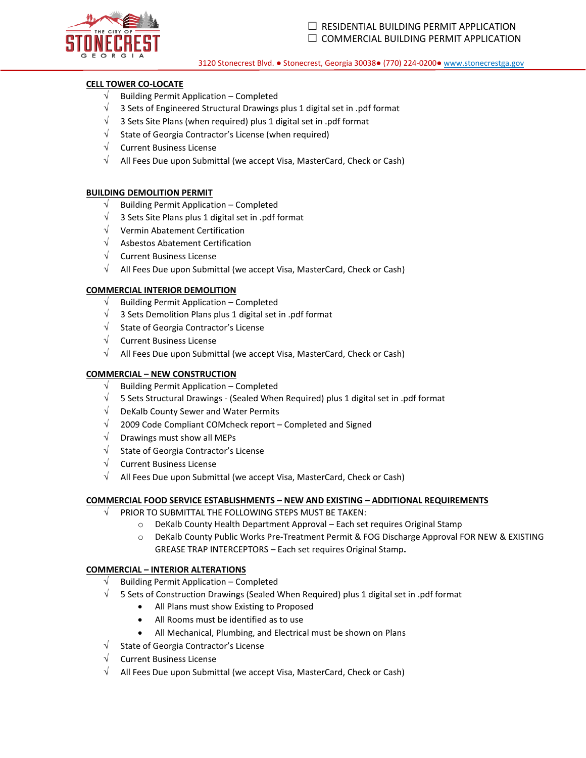

#### **CELL TOWER CO-LOCATE**

- Building Permit Application Completed
- $\sqrt{ }$  3 Sets of Engineered Structural Drawings plus 1 digital set in .pdf format
- $\sqrt{ }$  3 Sets Site Plans (when required) plus 1 digital set in .pdf format
- $\sqrt{\phantom{a}}$  State of Georgia Contractor's License (when required)
- $\sqrt{\phantom{a}}$  Current Business License
- $\sqrt{\phantom{a}}$  All Fees Due upon Submittal (we accept Visa, MasterCard, Check or Cash)

#### **BUILDING DEMOLITION PERMIT**

- $\sqrt{\phantom{a}}$  Building Permit Application Completed
- $\sqrt{ }$  3 Sets Site Plans plus 1 digital set in .pdf format
- $\sqrt{ }$  Vermin Abatement Certification
- $\sqrt{\phantom{a}}$  Asbestos Abatement Certification
- $\sqrt{\phantom{a}}$  Current Business License
- $\sqrt{\phantom{a}}$  All Fees Due upon Submittal (we accept Visa, MasterCard, Check or Cash)

#### **COMMERCIAL INTERIOR DEMOLITION**

- $\sqrt{\phantom{a}}$  Building Permit Application Completed
- $\sqrt{ }$  3 Sets Demolition Plans plus 1 digital set in .pdf format
- $\sqrt{\phantom{a}}$  State of Georgia Contractor's License
- $\sqrt{\phantom{a}}$  Current Business License
- $\sqrt{\phantom{a}}$  All Fees Due upon Submittal (we accept Visa, MasterCard, Check or Cash)

#### **COMMERCIAL – NEW CONSTRUCTION**

- $\sqrt{\phantom{a}}$  Building Permit Application Completed
- $\sqrt{ }$  5 Sets Structural Drawings (Sealed When Required) plus 1 digital set in .pdf format
- $\sqrt{\phantom{a}}$  DeKalb County Sewer and Water Permits
- $\sqrt{ }$  2009 Code Compliant COMcheck report Completed and Signed
- $\sqrt{\phantom{a}}$  Drawings must show all MEPs
- $\sqrt{\phantom{a}}$  State of Georgia Contractor's License
- $\sqrt{\phantom{a}}$  Current Business License
- $\sqrt{\phantom{a}}$  All Fees Due upon Submittal (we accept Visa, MasterCard, Check or Cash)

#### **COMMERCIAL FOOD SERVICE ESTABLISHMENTS – NEW AND EXISTING – ADDITIONAL REQUIREMENTS**

- $\sqrt{ }$  PRIOR TO SUBMITTAL THE FOLLOWING STEPS MUST BE TAKEN:
	- o DeKalb County Health Department Approval Each set requires Original Stamp
	- o DeKalb County Public Works Pre-Treatment Permit & FOG Discharge Approval FOR NEW & EXISTING GREASE TRAP INTERCEPTORS – Each set requires Original Stamp**.**

#### **COMMERCIAL – INTERIOR ALTERATIONS**

- $\sqrt{\phantom{a}}$  Building Permit Application Completed
- $\sqrt{ }$  5 Sets of Construction Drawings (Sealed When Required) plus 1 digital set in .pdf format
	- All Plans must show Existing to Proposed
	- All Rooms must be identified as to use
	- All Mechanical, Plumbing, and Electrical must be shown on Plans
- $\sqrt{\phantom{a}}$  State of Georgia Contractor's License
- $\sqrt{\phantom{a}}$  Current Business License
- $\sqrt{ }$  All Fees Due upon Submittal (we accept Visa, MasterCard, Check or Cash)